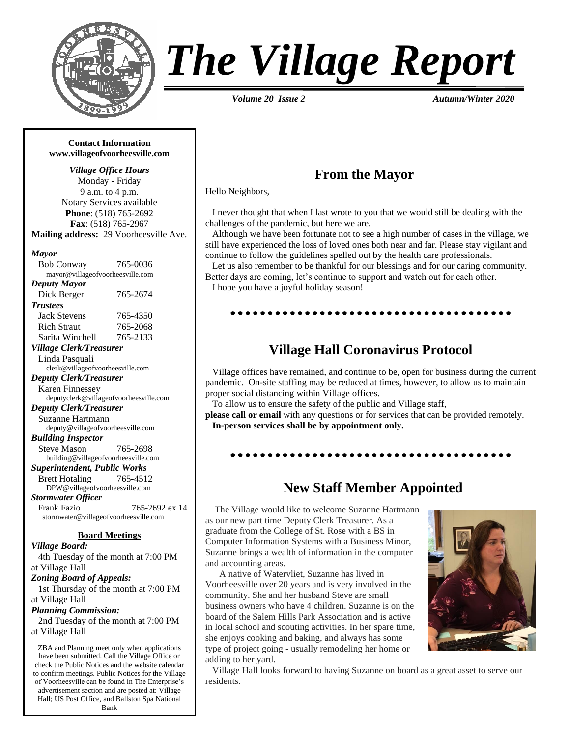

# *The Village Report*

*Volume 20 Issue 2 Autumn/Winter 2020*

**Contact Information [www.villageofvoorheesville.com](http://www.villageofvoorheesville.com/)** *Village Office Hours* Monday - Friday 9 a.m. to 4 p.m. Notary Services available **Phone**: (518) 765-2692 **Fax**: (518) 765-2967 **Mailing address:** 29 Voorheesville Ave. *Mayor* Bob Conway 765-0036 mayor@villageofvoorheesville.com *Deputy Mayor* Dick Berger 765-2674 *Trustees* Jack Stevens 765-4350 Rich Straut 765-2068 Sarita Winchell 765-2133 *Village Clerk/Treasurer* Linda Pasquali clerk@villageofvoorheesville.com *Deputy Clerk/Treasurer* Karen Finnessey [deputyclerk@villageofvoorheesville.com](mailto:deputyclerk@villageofvoorheesville.com) *Deputy Clerk/Treasurer* Suzanne Hartmann deputy@villageofvoorheesville.com *Building Inspector* Steve Mason 765-2698 building@villageofvoorheesville.com *Superintendent, Public Works* Brett Hotaling 765-4512 [DPW@villageofvoorheesville.com](mailto:DPW@villageofvoorheesville.com) *Stormwater Officer* Frank Fazio 765-2692 ex 14 stormwater@villageofvoorheesville.com **Board Meetings** *Village Board:* 4th Tuesday of the month at 7:00 PM at Village Hall *Zoning Board of Appeals:* 1st Thursday of the month at 7:00 PM at Village Hall *Planning Commission:* 2nd Tuesday of the month at 7:00 PM at Village Hall

ZBA and Planning meet only when applications have been submitted. Call the Village Office or check the Public Notices and the website calendar to confirm meetings. Public Notices for the Village of Voorheesville can be found in The Enterprise's advertisement section and are posted at: Village Hall; US Post Office, and Ballston Spa National Bank

## **From the Mayor**

Hello Neighbors,

 I never thought that when I last wrote to you that we would still be dealing with the challenges of the pandemic, but here we are.

 Although we have been fortunate not to see a high number of cases in the village, we still have experienced the loss of loved ones both near and far. Please stay vigilant and continue to follow the guidelines spelled out by the health care professionals.

 Let us also remember to be thankful for our blessings and for our caring community. Better days are coming, let's continue to support and watch out for each other. I hope you have a joyful holiday season!

#### ................................

## **Village Hall Coronavirus Protocol**

 Village offices have remained, and continue to be, open for business during the current pandemic. On-site staffing may be reduced at times, however, to allow us to maintain proper social distancing within Village offices.

To allow us to ensure the safety of the public and Village staff,

**please call or email** with any questions or for services that can be provided remotely.  **In-person services shall be by appointment only.**

## **New Staff Member Appointed**

 The Village would like to welcome Suzanne Hartmann as our new part time Deputy Clerk Treasurer. As a graduate from the College of St. Rose with a BS in Computer Information Systems with a Business Minor, Suzanne brings a wealth of information in the computer and accounting areas.

 A native of Watervliet, Suzanne has lived in Voorheesville over 20 years and is very involved in the community. She and her husband Steve are small business owners who have 4 children. Suzanne is on the board of the Salem Hills Park Association and is active in local school and scouting activities. In her spare time, she enjoys cooking and baking, and always has some type of project going - usually remodeling her home or adding to her yard.



 Village Hall looks forward to having Suzanne on board as a great asset to serve our residents.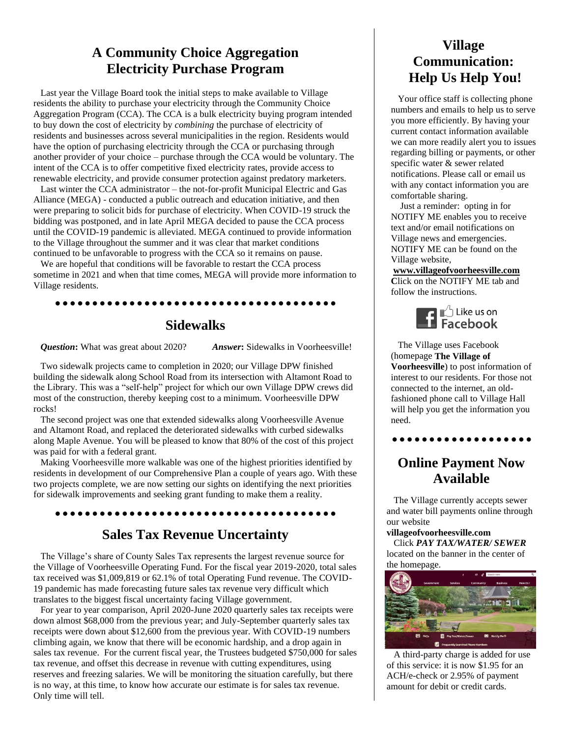## **A Community Choice Aggregation Electricity Purchase Program**

 Last year the Village Board took the initial steps to make available to Village residents the ability to purchase your electricity through the Community Choice Aggregation Program (CCA). The CCA is a bulk electricity buying program intended to buy down the cost of electricity by *combining* the purchase of electricity of residents and businesses across several municipalities in the region. Residents would have the option of purchasing electricity through the CCA or purchasing through another provider of your choice – purchase through the CCA would be voluntary. The intent of the CCA is to offer competitive fixed electricity rates, provide access to renewable electricity, and provide consumer protection against predatory marketers.

 Last winter the CCA administrator – the not-for-profit Municipal Electric and Gas Alliance (MEGA) - conducted a public outreach and education initiative, and then were preparing to solicit bids for purchase of electricity. When COVID-19 struck the bidding was postponed, and in late April MEGA decided to pause the CCA process until the COVID-19 pandemic is alleviated. MEGA continued to provide information to the Village throughout the summer and it was clear that market conditions continued to be unfavorable to progress with the CCA so it remains on pause.

 We are hopeful that conditions will be favorable to restart the CCA process sometime in 2021 and when that time comes, MEGA will provide more information to Village residents.

## 

## **Sidewalks**

*Question*: What was great about 2020? *Answer*: Sidewalks in Voorheesville!

 Two sidewalk projects came to completion in 2020; our Village DPW finished building the sidewalk along School Road from its intersection with Altamont Road to the Library. This was a "self-help" project for which our own Village DPW crews did most of the construction, thereby keeping cost to a minimum. Voorheesville DPW rocks!

 The second project was one that extended sidewalks along Voorheesville Avenue and Altamont Road, and replaced the deteriorated sidewalks with curbed sidewalks along Maple Avenue. You will be pleased to know that 80% of the cost of this project was paid for with a federal grant.

 Making Voorheesville more walkable was one of the highest priorities identified by residents in development of our Comprehensive Plan a couple of years ago. With these two projects complete, we are now setting our sights on identifying the next priorities for sidewalk improvements and seeking grant funding to make them a reality.

## 

## **Sales Tax Revenue Uncertainty**

 The Village's share of County Sales Tax represents the largest revenue source for the Village of Voorheesville Operating Fund. For the fiscal year 2019-2020, total sales tax received was \$1,009,819 or 62.1% of total Operating Fund revenue. The COVID-19 pandemic has made forecasting future sales tax revenue very difficult which translates to the biggest fiscal uncertainty facing Village government.

 For year to year comparison, April 2020-June 2020 quarterly sales tax receipts were down almost \$68,000 from the previous year; and July-September quarterly sales tax receipts were down about \$12,600 from the previous year. With COVID-19 numbers climbing again, we know that there will be economic hardship, and a drop again in sales tax revenue. For the current fiscal year, the Trustees budgeted \$750,000 for sales tax revenue, and offset this decrease in revenue with cutting expenditures, using reserves and freezing salaries. We will be monitoring the situation carefully, but there is no way, at this time, to know how accurate our estimate is for sales tax revenue. Only time will tell.

## **Village Communication: Help Us Help You!**

 Your office staff is collecting phone numbers and emails to help us to serve you more efficiently. By having your current contact information available we can more readily alert you to issues regarding billing or payments, or other specific water & sewer related notifications. Please call or email us with any contact information you are comfortable sharing.

 Just a reminder: opting in for NOTIFY ME enables you to receive text and/or email notifications on Village news and emergencies. NOTIFY ME can be found on the Village website,

#### **[www.villageofvoorheesville.com](http://www.villageofvoorheesville.com/)**

**C**lick on the NOTIFY ME tab and follow the instructions.



 The Village uses Facebook (homepage **The Village of Voorheesville**) to post information of interest to our residents. For those not connected to the internet, an oldfashioned phone call to Village Hall will help you get the information you need.

. . . . . . . . . . . . . . . . . .

# **Online Payment Now Available**

 The Village currently accepts sewer and water bill payments online through our website

#### **villageofvoorheesville.com**

 Click *PAY TAX/WATER/ SEWER* located on the banner in the center of the homepage.



 A third-party charge is added for use of this service: it is now \$1.95 for an ACH/e-check or 2.95% of payment amount for debit or credit cards.